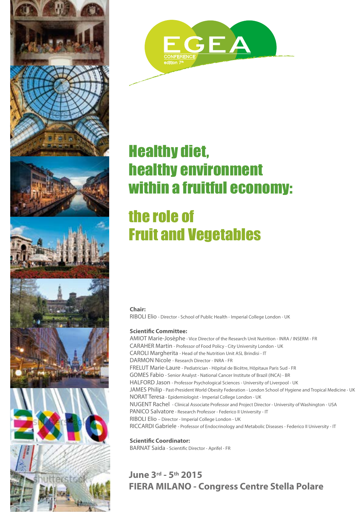









## Healthy diet, healthy environment within a fruitful economy:

# the role of Fruit and Vegetables

#### **Chair:**

RIBOLI Elio - Director - School of Public Health - Imperial College London - UK

#### **Scientific Committee:**

AMIOT Marie-Josèphe - Vice Director of the Research Unit Nutrition - INRA / INSERM - FR CARAHER Martin - Professor of Food Policy - City University London - UK CAROLI Margherita - Head of the Nutrition Unit ASL Brindisi - IT DARMON Nicole - Research Director - INRA - FR FRELUT Marie-Laure - Pediatrician - Hôpital de Bicêtre, Hôpitaux Paris Sud - FR GOMES Fabio - Senior Analyst - National Cancer Institute of Brazil (INCA) - BR HALFORD Jason - Professor Psychological Sciences - University of Liverpool - UK JAMES Philip - Past-President World Obesity Federation - London School of Hygiene and Tropical Medicine - UK NORAT Teresa - Epidemiologist - Imperial College London - UK NUGENT Rachel - Clinical Associate Professor and Project Director - University of Washington - USA PANICO Salvatore - Research Professor - Federico II University - IT RIBOLI Elio – Director - Imperial College London - UK RICCARDI Gabriele - Professor of Endocrinology and Metabolic Diseases - Federico II University - IT

**Scientific Coordinator:**  BARNAT Saida - Scientific Director - Aprifel - FR

### **June 3rd - 5th 2015 FIERA MILANO - Congress Centre Stella Polare**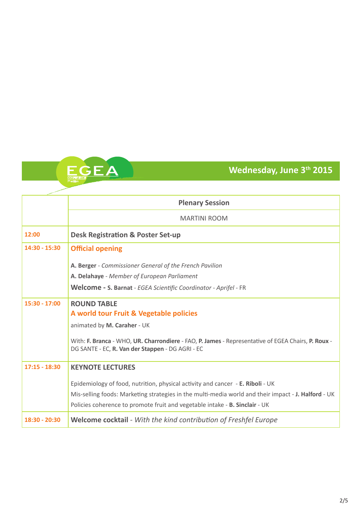### **Wednesday, June 3th 2015**

|                 | <b>Plenary Session</b>                                                                                                                                                                                                                                               |  |  |
|-----------------|----------------------------------------------------------------------------------------------------------------------------------------------------------------------------------------------------------------------------------------------------------------------|--|--|
|                 | <b>MARTINI ROOM</b>                                                                                                                                                                                                                                                  |  |  |
| 12:00           | <b>Desk Registration &amp; Poster Set-up</b>                                                                                                                                                                                                                         |  |  |
| 14:30 - 15:30   | <b>Official opening</b>                                                                                                                                                                                                                                              |  |  |
|                 | A. Berger - Commissioner General of the French Pavilion                                                                                                                                                                                                              |  |  |
|                 | A. Delahaye - Member of European Parliament                                                                                                                                                                                                                          |  |  |
|                 | Welcome - S. Barnat - EGEA Scientific Coordinator - Aprifel - FR                                                                                                                                                                                                     |  |  |
| $15:30 - 17:00$ | <b>ROUND TABLE</b>                                                                                                                                                                                                                                                   |  |  |
|                 | A world tour Fruit & Vegetable policies                                                                                                                                                                                                                              |  |  |
|                 | animated by M. Caraher - UK                                                                                                                                                                                                                                          |  |  |
|                 | With: F. Branca - WHO, UR. Charrondiere - FAO, P. James - Representative of EGEA Chairs, P. Roux -<br>DG SANTE - EC, R. Van der Stappen - DG AGRI - EC                                                                                                               |  |  |
| $17:15 - 18:30$ | <b>KEYNOTE LECTURES</b>                                                                                                                                                                                                                                              |  |  |
|                 | Epidemiology of food, nutrition, physical activity and cancer - E. Riboli - UK<br>Mis-selling foods: Marketing strategies in the multi-media world and their impact - J. Halford - UK<br>Policies coherence to promote fruit and vegetable intake - B. Sinclair - UK |  |  |
| 18:30 - 20:30   | Welcome cocktail - With the kind contribution of Freshfel Europe                                                                                                                                                                                                     |  |  |

CONFERENCE 7th edition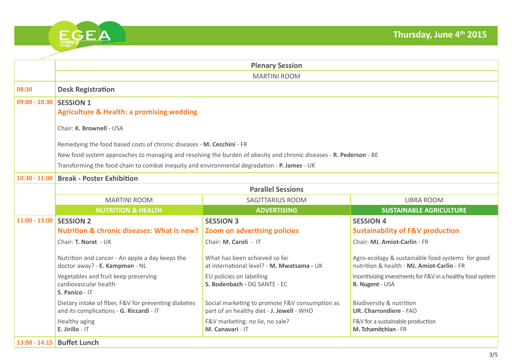| 7 <sup>th</sup> edition | <b>CONFERENCE</b> |  |
|-------------------------|-------------------|--|

|                           | <b>Plenary Session</b>                                                                                             |                                                                                             |                                                                                                |  |  |
|---------------------------|--------------------------------------------------------------------------------------------------------------------|---------------------------------------------------------------------------------------------|------------------------------------------------------------------------------------------------|--|--|
|                           | <b>MARTINI ROOM</b>                                                                                                |                                                                                             |                                                                                                |  |  |
| 08:30                     | <b>Desk Registration</b>                                                                                           |                                                                                             |                                                                                                |  |  |
| $09:00 - 10:30$           | <b>SESSION 1</b>                                                                                                   |                                                                                             |                                                                                                |  |  |
|                           | <b>Agriculture &amp; Health: a promising wedding</b>                                                               |                                                                                             |                                                                                                |  |  |
|                           | Chair: K. Brownell - USA                                                                                           |                                                                                             |                                                                                                |  |  |
|                           | Remedying the food based costs of chronic diseases - M. Cecchini - FR                                              |                                                                                             |                                                                                                |  |  |
|                           | New food system approaches to managing and resolving the burden of obesity and chronic diseases - R. Pederson - BE |                                                                                             |                                                                                                |  |  |
|                           | Transforming the food chain to combat inequity and environmental degradation - P. James - UK                       |                                                                                             |                                                                                                |  |  |
| $10:30 - 11:00$           | <b>Break - Poster Exhibition</b>                                                                                   |                                                                                             |                                                                                                |  |  |
|                           | <b>Parallel Sessions</b>                                                                                           |                                                                                             |                                                                                                |  |  |
|                           | <b>MARTINI ROOM</b>                                                                                                | <b>SAGITTARIUS ROOM</b>                                                                     | <b>LIBRA ROOM</b>                                                                              |  |  |
|                           | <b>NUTRITION &amp; HEALTH</b>                                                                                      | <b>ADVERTISING</b>                                                                          | <b>SUSTAINABLE AGRICULTURE</b>                                                                 |  |  |
| 11:00 - 13:00   SESSION 2 |                                                                                                                    | <b>SESSION 3</b>                                                                            | <b>SESSION 4</b>                                                                               |  |  |
|                           | <b>Nutrition &amp; chronic diseases: What is new?</b>                                                              | <b>Zoom on advertising policies</b>                                                         | <b>Sustainability of F&amp;V production</b>                                                    |  |  |
|                           | Chair: T. Norat - UK                                                                                               | Chair: M. Caroli - IT                                                                       | Chair: MJ. Amiot-Carlin - FR                                                                   |  |  |
|                           | Nutrition and cancer - An apple a day keeps the<br>doctor away? - E. Kampman - NL                                  | What has been achieved so far<br>at international level? - M. Mwatsama - UK                 | Agro-ecology & sustainable food systems for good<br>nutrition & health - MJ. Amiot-Carlin - FR |  |  |
|                           | Vegetables and fruit keep preserving<br>cardiovascular health<br>S. Panico - IT                                    | EU policies on labelling<br>S. Bodenbach - DG SANTE - EC                                    | Incentivizing investments for F&V in a healthy food system<br>R. Nugent - USA                  |  |  |
|                           | Dietary intake of fiber, F&V for preventing diabetes<br>and its complications - G. Riccardi - IT                   | Social marketing to promote F&V consumption as<br>part of an healthy diet - J. Jewell - WHO | Biodiversity & nutrition<br><b>UR. Charrondiere - FAO</b>                                      |  |  |
|                           | Healthy aging<br>E. Jirillo - IT                                                                                   | F&V marketing: no lie, no sale?<br>M. Canavari - IT                                         | F&V for a sustainable production<br>M. Tchamitchian - FR                                       |  |  |
|                           | 13:00 - 14:15   Buffet Lunch                                                                                       |                                                                                             |                                                                                                |  |  |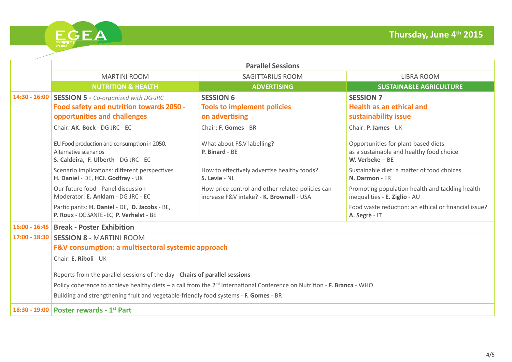

|                 | <b>Parallel Sessions</b>                                                                                                            |                                                                                              |                                                                                                     |  |  |
|-----------------|-------------------------------------------------------------------------------------------------------------------------------------|----------------------------------------------------------------------------------------------|-----------------------------------------------------------------------------------------------------|--|--|
|                 | <b>MARTINI ROOM</b>                                                                                                                 | <b>SAGITTARIUS ROOM</b>                                                                      | <b>LIBRA ROOM</b>                                                                                   |  |  |
|                 | <b>NUTRITION &amp; HEALTH</b>                                                                                                       | <b>ADVERTISING</b>                                                                           | <b>SUSTAINABLE AGRICULTURE</b>                                                                      |  |  |
| $14:30 - 16:00$ | <b>SESSION 5 - Co-organized with DG-JRC</b>                                                                                         | <b>SESSION 6</b>                                                                             | <b>SESSION 7</b>                                                                                    |  |  |
|                 | Food safety and nutrition towards 2050 -                                                                                            | <b>Tools to implement policies</b>                                                           | <b>Health as an ethical and</b>                                                                     |  |  |
|                 | opportunities and challenges                                                                                                        | on advertising                                                                               | sustainability issue                                                                                |  |  |
|                 | Chair: AK. Bock - DG JRC - EC                                                                                                       | Chair: F. Gomes - BR                                                                         | Chair: P. James - UK                                                                                |  |  |
|                 | EU Food production and consumption in 2050.<br>Alternative scenarios<br>S. Caldeira, F. Ulberth - DG JRC - EC                       | What about F&V labelling?<br>P. Binard - BE                                                  | Opportunities for plant-based diets<br>as a sustainable and healthy food choice<br>W. Verbeke $-BE$ |  |  |
|                 | Scenario implications: different perspectives<br>H. Daniel - DE, HCJ. Godfray - UK                                                  | How to effectively advertise healthy foods?<br>S. Levie - NL                                 | Sustainable diet: a matter of food choices<br>N. Darmon - FR                                        |  |  |
|                 | Our future food - Panel discussion<br>Moderator: E. Anklam - DG JRC - EC                                                            | How price control and other related policies can<br>increase F&V intake? - K. Brownell - USA | Promoting population health and tackling health<br>inequalities - E. Ziglio - AU                    |  |  |
|                 | Participants: H. Daniel - DE, D. Jacobs - BE,<br>P. Roux - DG SANTE - EC, P. Verhelst - BE                                          |                                                                                              | Food waste reduction: an ethical or financial issue?<br>A. Segrè - IT                               |  |  |
| $16:00 - 16:45$ | <b>Break - Poster Exhibition</b>                                                                                                    |                                                                                              |                                                                                                     |  |  |
| $17:00 - 18:30$ | <b>SESSION 8 - MARTINI ROOM</b>                                                                                                     |                                                                                              |                                                                                                     |  |  |
|                 | F&V consumption: a multisectoral systemic approach                                                                                  |                                                                                              |                                                                                                     |  |  |
|                 | Chair: E. Riboli - UK                                                                                                               |                                                                                              |                                                                                                     |  |  |
|                 | Reports from the parallel sessions of the day - Chairs of parallel sessions                                                         |                                                                                              |                                                                                                     |  |  |
|                 | Policy coherence to achieve healthy diets – a call from the 2 <sup>nd</sup> International Conference on Nutrition - F. Branca - WHO |                                                                                              |                                                                                                     |  |  |
|                 | Building and strengthening fruit and vegetable-friendly food systems - F. Gomes - BR                                                |                                                                                              |                                                                                                     |  |  |
| 18:30 - 19:00   | Poster rewards - 1 <sup>st</sup> Part                                                                                               |                                                                                              |                                                                                                     |  |  |